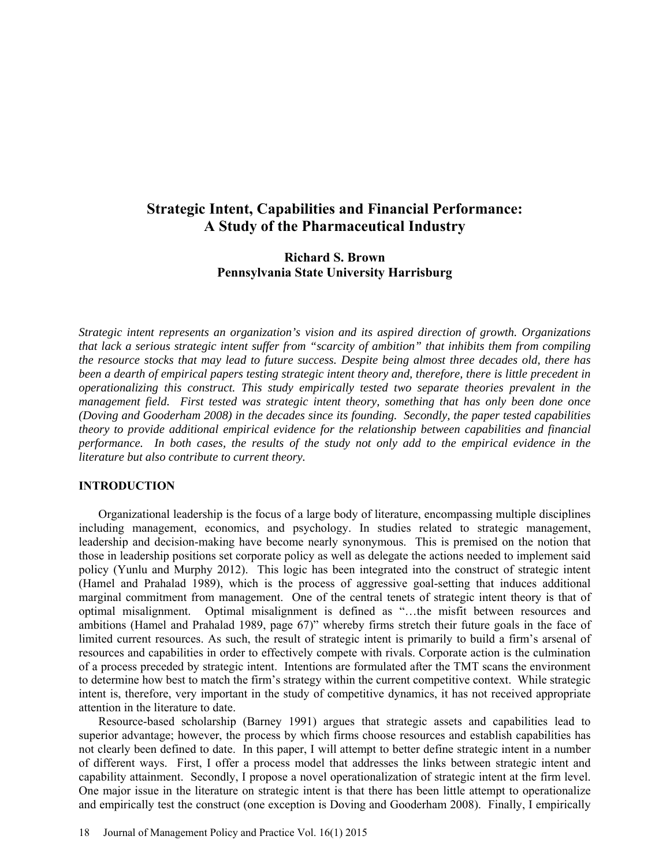# **Strategic Intent, Capabilities and Financial Performance: A Study of the Pharmaceutical Industry**

# **Richard S. Brown Pennsylvania State University Harrisburg**

*Strategic intent represents an organization's vision and its aspired direction of growth. Organizations that lack a serious strategic intent suffer from "scarcity of ambition" that inhibits them from compiling the resource stocks that may lead to future success. Despite being almost three decades old, there has been a dearth of empirical papers testing strategic intent theory and, therefore, there is little precedent in operationalizing this construct. This study empirically tested two separate theories prevalent in the management field. First tested was strategic intent theory, something that has only been done once (Doving and Gooderham 2008) in the decades since its founding. Secondly, the paper tested capabilities theory to provide additional empirical evidence for the relationship between capabilities and financial performance. In both cases, the results of the study not only add to the empirical evidence in the literature but also contribute to current theory.*

## **INTRODUCTION**

Organizational leadership is the focus of a large body of literature, encompassing multiple disciplines including management, economics, and psychology. In studies related to strategic management, leadership and decision-making have become nearly synonymous. This is premised on the notion that those in leadership positions set corporate policy as well as delegate the actions needed to implement said policy (Yunlu and Murphy 2012). This logic has been integrated into the construct of strategic intent (Hamel and Prahalad 1989), which is the process of aggressive goal-setting that induces additional marginal commitment from management. One of the central tenets of strategic intent theory is that of optimal misalignment. Optimal misalignment is defined as "…the misfit between resources and ambitions (Hamel and Prahalad 1989, page 67)" whereby firms stretch their future goals in the face of limited current resources. As such, the result of strategic intent is primarily to build a firm's arsenal of resources and capabilities in order to effectively compete with rivals. Corporate action is the culmination of a process preceded by strategic intent. Intentions are formulated after the TMT scans the environment to determine how best to match the firm's strategy within the current competitive context. While strategic intent is, therefore, very important in the study of competitive dynamics, it has not received appropriate attention in the literature to date.

Resource-based scholarship (Barney 1991) argues that strategic assets and capabilities lead to superior advantage; however, the process by which firms choose resources and establish capabilities has not clearly been defined to date. In this paper, I will attempt to better define strategic intent in a number of different ways. First, I offer a process model that addresses the links between strategic intent and capability attainment. Secondly, I propose a novel operationalization of strategic intent at the firm level. One major issue in the literature on strategic intent is that there has been little attempt to operationalize and empirically test the construct (one exception is Doving and Gooderham 2008). Finally, I empirically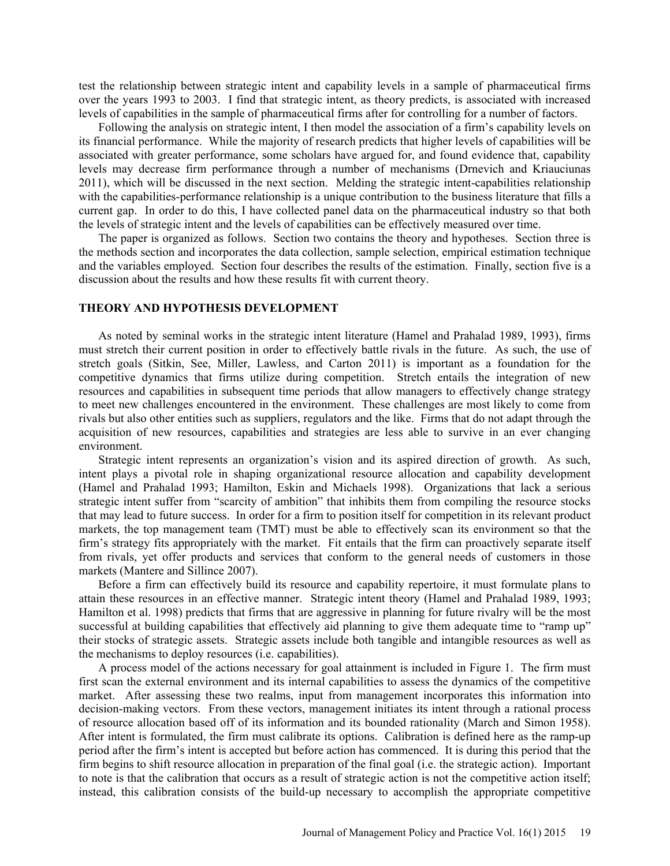test the relationship between strategic intent and capability levels in a sample of pharmaceutical firms over the years 1993 to 2003. I find that strategic intent, as theory predicts, is associated with increased levels of capabilities in the sample of pharmaceutical firms after for controlling for a number of factors.

Following the analysis on strategic intent, I then model the association of a firm's capability levels on its financial performance. While the majority of research predicts that higher levels of capabilities will be associated with greater performance, some scholars have argued for, and found evidence that, capability levels may decrease firm performance through a number of mechanisms (Drnevich and Kriauciunas 2011), which will be discussed in the next section. Melding the strategic intent-capabilities relationship with the capabilities-performance relationship is a unique contribution to the business literature that fills a current gap. In order to do this, I have collected panel data on the pharmaceutical industry so that both the levels of strategic intent and the levels of capabilities can be effectively measured over time.

The paper is organized as follows. Section two contains the theory and hypotheses. Section three is the methods section and incorporates the data collection, sample selection, empirical estimation technique and the variables employed. Section four describes the results of the estimation. Finally, section five is a discussion about the results and how these results fit with current theory.

# **THEORY AND HYPOTHESIS DEVELOPMENT**

As noted by seminal works in the strategic intent literature (Hamel and Prahalad 1989, 1993), firms must stretch their current position in order to effectively battle rivals in the future. As such, the use of stretch goals (Sitkin, See, Miller, Lawless, and Carton 2011) is important as a foundation for the competitive dynamics that firms utilize during competition. Stretch entails the integration of new resources and capabilities in subsequent time periods that allow managers to effectively change strategy to meet new challenges encountered in the environment. These challenges are most likely to come from rivals but also other entities such as suppliers, regulators and the like. Firms that do not adapt through the acquisition of new resources, capabilities and strategies are less able to survive in an ever changing environment.

Strategic intent represents an organization's vision and its aspired direction of growth. As such, intent plays a pivotal role in shaping organizational resource allocation and capability development (Hamel and Prahalad 1993; Hamilton, Eskin and Michaels 1998). Organizations that lack a serious strategic intent suffer from "scarcity of ambition" that inhibits them from compiling the resource stocks that may lead to future success. In order for a firm to position itself for competition in its relevant product markets, the top management team (TMT) must be able to effectively scan its environment so that the firm's strategy fits appropriately with the market. Fit entails that the firm can proactively separate itself from rivals, yet offer products and services that conform to the general needs of customers in those markets (Mantere and Sillince 2007).

Before a firm can effectively build its resource and capability repertoire, it must formulate plans to attain these resources in an effective manner. Strategic intent theory (Hamel and Prahalad 1989, 1993; Hamilton et al. 1998) predicts that firms that are aggressive in planning for future rivalry will be the most successful at building capabilities that effectively aid planning to give them adequate time to "ramp up" their stocks of strategic assets. Strategic assets include both tangible and intangible resources as well as the mechanisms to deploy resources (i.e. capabilities).

A process model of the actions necessary for goal attainment is included in Figure 1. The firm must first scan the external environment and its internal capabilities to assess the dynamics of the competitive market. After assessing these two realms, input from management incorporates this information into decision-making vectors. From these vectors, management initiates its intent through a rational process of resource allocation based off of its information and its bounded rationality (March and Simon 1958). After intent is formulated, the firm must calibrate its options. Calibration is defined here as the ramp-up period after the firm's intent is accepted but before action has commenced. It is during this period that the firm begins to shift resource allocation in preparation of the final goal (i.e. the strategic action). Important to note is that the calibration that occurs as a result of strategic action is not the competitive action itself; instead, this calibration consists of the build-up necessary to accomplish the appropriate competitive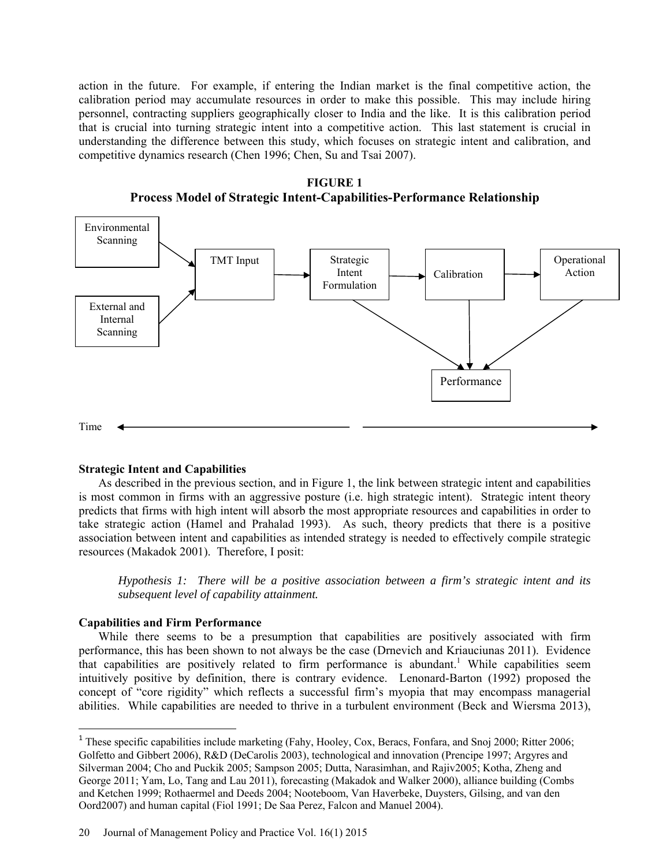action in the future. For example, if entering the Indian market is the final competitive action, the calibration period may accumulate resources in order to make this possible. This may include hiring personnel, contracting suppliers geographically closer to India and the like. It is this calibration period that is crucial into turning strategic intent into a competitive action. This last statement is crucial in understanding the difference between this study, which focuses on strategic intent and calibration, and competitive dynamics research (Chen 1996; Chen, Su and Tsai 2007).

**FIGURE 1 Process Model of Strategic Intent-Capabilities-Performance Relationship** 



# **Strategic Intent and Capabilities**

As described in the previous section, and in Figure 1, the link between strategic intent and capabilities is most common in firms with an aggressive posture (i.e. high strategic intent). Strategic intent theory predicts that firms with high intent will absorb the most appropriate resources and capabilities in order to take strategic action (Hamel and Prahalad 1993). As such, theory predicts that there is a positive association between intent and capabilities as intended strategy is needed to effectively compile strategic resources (Makadok 2001). Therefore, I posit:

*Hypothesis 1: There will be a positive association between a firm's strategic intent and its subsequent level of capability attainment.* 

### **Capabilities and Firm Performance**

l

While there seems to be a presumption that capabilities are positively associated with firm performance, this has been shown to not always be the case (Drnevich and Kriauciunas 2011). Evidence that capabilities are positively related to firm performance is abundant.<sup>1</sup> While capabilities seem intuitively positive by definition, there is contrary evidence. Lenonard-Barton (1992) proposed the concept of "core rigidity" which reflects a successful firm's myopia that may encompass managerial abilities. While capabilities are needed to thrive in a turbulent environment (Beck and Wiersma 2013),

<sup>&</sup>lt;sup>1</sup> These specific capabilities include marketing (Fahy, Hooley, Cox, Beracs, Fonfara, and Snoj 2000; Ritter 2006; Golfetto and Gibbert 2006), R&D (DeCarolis 2003), technological and innovation (Prencipe 1997; Argyres and Silverman 2004; Cho and Puckik 2005; Sampson 2005; Dutta, Narasimhan, and Rajiv2005; Kotha, Zheng and George 2011; Yam, Lo, Tang and Lau 2011), forecasting (Makadok and Walker 2000), alliance building (Combs and Ketchen 1999; Rothaermel and Deeds 2004; Nooteboom, Van Haverbeke, Duysters, Gilsing, and van den Oord2007) and human capital (Fiol 1991; De Saa Perez, Falcon and Manuel 2004).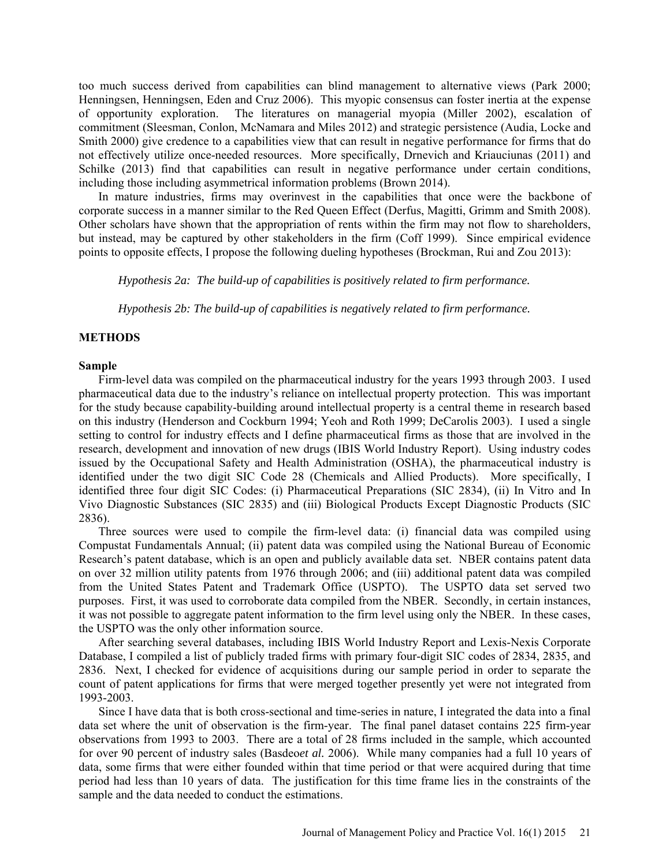too much success derived from capabilities can blind management to alternative views (Park 2000; Henningsen, Henningsen, Eden and Cruz 2006). This myopic consensus can foster inertia at the expense of opportunity exploration. The literatures on managerial myopia (Miller 2002), escalation of commitment (Sleesman, Conlon, McNamara and Miles 2012) and strategic persistence (Audia, Locke and Smith 2000) give credence to a capabilities view that can result in negative performance for firms that do not effectively utilize once-needed resources. More specifically, Drnevich and Kriauciunas (2011) and Schilke (2013) find that capabilities can result in negative performance under certain conditions, including those including asymmetrical information problems (Brown 2014).

In mature industries, firms may overinvest in the capabilities that once were the backbone of corporate success in a manner similar to the Red Queen Effect (Derfus, Magitti, Grimm and Smith 2008). Other scholars have shown that the appropriation of rents within the firm may not flow to shareholders, but instead, may be captured by other stakeholders in the firm (Coff 1999). Since empirical evidence points to opposite effects, I propose the following dueling hypotheses (Brockman, Rui and Zou 2013):

*Hypothesis 2a: The build-up of capabilities is positively related to firm performance.*

*Hypothesis 2b: The build-up of capabilities is negatively related to firm performance.* 

### **METHODS**

### **Sample**

Firm-level data was compiled on the pharmaceutical industry for the years 1993 through 2003. I used pharmaceutical data due to the industry's reliance on intellectual property protection. This was important for the study because capability-building around intellectual property is a central theme in research based on this industry (Henderson and Cockburn 1994; Yeoh and Roth 1999; DeCarolis 2003). I used a single setting to control for industry effects and I define pharmaceutical firms as those that are involved in the research, development and innovation of new drugs (IBIS World Industry Report). Using industry codes issued by the Occupational Safety and Health Administration (OSHA), the pharmaceutical industry is identified under the two digit SIC Code 28 (Chemicals and Allied Products). More specifically, I identified three four digit SIC Codes: (i) Pharmaceutical Preparations (SIC 2834), (ii) In Vitro and In Vivo Diagnostic Substances (SIC 2835) and (iii) Biological Products Except Diagnostic Products (SIC 2836).

Three sources were used to compile the firm-level data: (i) financial data was compiled using Compustat Fundamentals Annual; (ii) patent data was compiled using the National Bureau of Economic Research's patent database, which is an open and publicly available data set. NBER contains patent data on over 32 million utility patents from 1976 through 2006; and (iii) additional patent data was compiled from the United States Patent and Trademark Office (USPTO). The USPTO data set served two purposes. First, it was used to corroborate data compiled from the NBER. Secondly, in certain instances, it was not possible to aggregate patent information to the firm level using only the NBER. In these cases, the USPTO was the only other information source.

After searching several databases, including IBIS World Industry Report and Lexis-Nexis Corporate Database, I compiled a list of publicly traded firms with primary four-digit SIC codes of 2834, 2835, and 2836. Next, I checked for evidence of acquisitions during our sample period in order to separate the count of patent applications for firms that were merged together presently yet were not integrated from 1993-2003.

Since I have data that is both cross-sectional and time-series in nature, I integrated the data into a final data set where the unit of observation is the firm-year. The final panel dataset contains 225 firm-year observations from 1993 to 2003. There are a total of 28 firms included in the sample, which accounted for over 90 percent of industry sales (Basdeo*et al.* 2006). While many companies had a full 10 years of data, some firms that were either founded within that time period or that were acquired during that time period had less than 10 years of data. The justification for this time frame lies in the constraints of the sample and the data needed to conduct the estimations.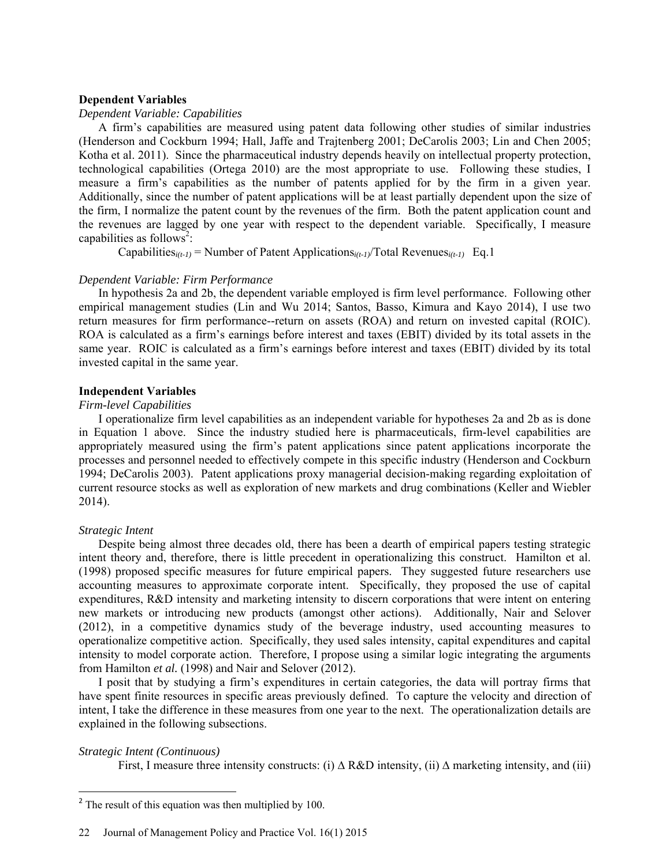## **Dependent Variables**

# *Dependent Variable: Capabilities*

A firm's capabilities are measured using patent data following other studies of similar industries (Henderson and Cockburn 1994; Hall, Jaffe and Trajtenberg 2001; DeCarolis 2003; Lin and Chen 2005; Kotha et al. 2011). Since the pharmaceutical industry depends heavily on intellectual property protection, technological capabilities (Ortega 2010) are the most appropriate to use. Following these studies, I measure a firm's capabilities as the number of patents applied for by the firm in a given year. Additionally, since the number of patent applications will be at least partially dependent upon the size of the firm, I normalize the patent count by the revenues of the firm. Both the patent application count and the revenues are lagged by one year with respect to the dependent variable. Specifically, I measure capabilities as follows<sup>2</sup>:

Capabilities<sub>*i(t-1)*</sub> = Number of Patent Applications<sub>*i(t-1)*</sub> Total Revenues<sub>*i(t-1)*</sub> Eq.1

### *Dependent Variable: Firm Performance*

In hypothesis 2a and 2b, the dependent variable employed is firm level performance. Following other empirical management studies (Lin and Wu 2014; Santos, Basso, Kimura and Kayo 2014), I use two return measures for firm performance--return on assets (ROA) and return on invested capital (ROIC). ROA is calculated as a firm's earnings before interest and taxes (EBIT) divided by its total assets in the same year. ROIC is calculated as a firm's earnings before interest and taxes (EBIT) divided by its total invested capital in the same year.

# **Independent Variables**

# *Firm-level Capabilities*

I operationalize firm level capabilities as an independent variable for hypotheses 2a and 2b as is done in Equation 1 above. Since the industry studied here is pharmaceuticals, firm-level capabilities are appropriately measured using the firm's patent applications since patent applications incorporate the processes and personnel needed to effectively compete in this specific industry (Henderson and Cockburn 1994; DeCarolis 2003). Patent applications proxy managerial decision-making regarding exploitation of current resource stocks as well as exploration of new markets and drug combinations (Keller and Wiebler 2014).

### *Strategic Intent*

Despite being almost three decades old, there has been a dearth of empirical papers testing strategic intent theory and, therefore, there is little precedent in operationalizing this construct. Hamilton et al. (1998) proposed specific measures for future empirical papers. They suggested future researchers use accounting measures to approximate corporate intent. Specifically, they proposed the use of capital expenditures, R&D intensity and marketing intensity to discern corporations that were intent on entering new markets or introducing new products (amongst other actions). Additionally, Nair and Selover (2012), in a competitive dynamics study of the beverage industry, used accounting measures to operationalize competitive action. Specifically, they used sales intensity, capital expenditures and capital intensity to model corporate action. Therefore, I propose using a similar logic integrating the arguments from Hamilton *et al.* (1998) and Nair and Selover (2012).

I posit that by studying a firm's expenditures in certain categories, the data will portray firms that have spent finite resources in specific areas previously defined. To capture the velocity and direction of intent, I take the difference in these measures from one year to the next. The operationalization details are explained in the following subsections.

## *Strategic Intent (Continuous)*

First, I measure three intensity constructs: (i) ∆ R&D intensity, (ii) ∆ marketing intensity, and (iii)

 $2^2$  The result of this equation was then multiplied by 100.

<sup>22</sup> Journal of Management Policy and Practice Vol. 16(1) 2015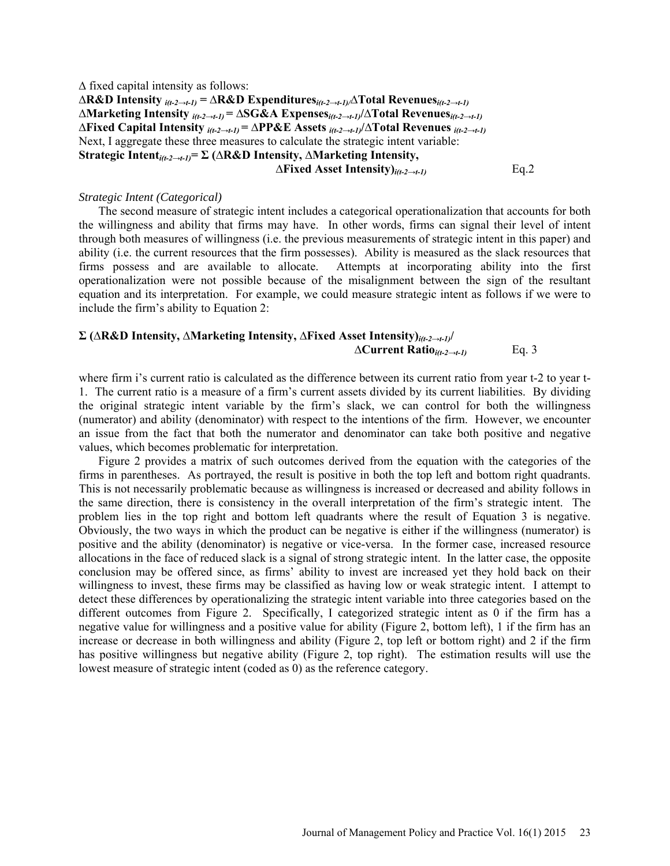∆ fixed capital intensity as follows: **∆R&D Intensity** *i(t-2→t-1)* **= ∆R&D Expenditures***i(t-2→t-1)/∆***Total Revenues***i(t-2→t-1)* **∆Marketing Intensity** *i(t-2→t-1)* **= ∆SG&A Expenses***i(t-2→t-1)***/∆Total Revenues***i(t-2→t-1)*  **∆Fixed Capital Intensity** *i(t-2→t-1)* **= ∆PP&E Assets** *i(t-2→t-1)***/∆Total Revenues** *i(t-2→t-1)*  Next, I aggregate these three measures to calculate the strategic intent variable: **Strategic Intent***i(t-2→t-1)***= Σ (∆R&D Intensity, ∆Marketing Intensity, ∆Fixed Asset Intensity)***i(t-2→t-1)* Eq.2

# *Strategic Intent (Categorical)*

The second measure of strategic intent includes a categorical operationalization that accounts for both the willingness and ability that firms may have. In other words, firms can signal their level of intent through both measures of willingness (i.e. the previous measurements of strategic intent in this paper) and ability (i.e. the current resources that the firm possesses). Ability is measured as the slack resources that firms possess and are available to allocate. Attempts at incorporating ability into the first operationalization were not possible because of the misalignment between the sign of the resultant equation and its interpretation. For example, we could measure strategic intent as follows if we were to include the firm's ability to Equation 2:

# **Σ (∆R&D Intensity, ∆Marketing Intensity, ∆Fixed Asset Intensity)***i(t-2→t-1)***/ ∆Current Ratio***i(t-2→t-1)* Eq. 3

where firm i's current ratio is calculated as the difference between its current ratio from year t-2 to year t-1. The current ratio is a measure of a firm's current assets divided by its current liabilities. By dividing the original strategic intent variable by the firm's slack, we can control for both the willingness (numerator) and ability (denominator) with respect to the intentions of the firm. However, we encounter an issue from the fact that both the numerator and denominator can take both positive and negative values, which becomes problematic for interpretation.

Figure 2 provides a matrix of such outcomes derived from the equation with the categories of the firms in parentheses. As portrayed, the result is positive in both the top left and bottom right quadrants. This is not necessarily problematic because as willingness is increased or decreased and ability follows in the same direction, there is consistency in the overall interpretation of the firm's strategic intent. The problem lies in the top right and bottom left quadrants where the result of Equation 3 is negative. Obviously, the two ways in which the product can be negative is either if the willingness (numerator) is positive and the ability (denominator) is negative or vice-versa. In the former case, increased resource allocations in the face of reduced slack is a signal of strong strategic intent. In the latter case, the opposite conclusion may be offered since, as firms' ability to invest are increased yet they hold back on their willingness to invest, these firms may be classified as having low or weak strategic intent. I attempt to detect these differences by operationalizing the strategic intent variable into three categories based on the different outcomes from Figure 2. Specifically, I categorized strategic intent as 0 if the firm has a negative value for willingness and a positive value for ability (Figure 2, bottom left), 1 if the firm has an increase or decrease in both willingness and ability (Figure 2, top left or bottom right) and 2 if the firm has positive willingness but negative ability (Figure 2, top right). The estimation results will use the lowest measure of strategic intent (coded as 0) as the reference category.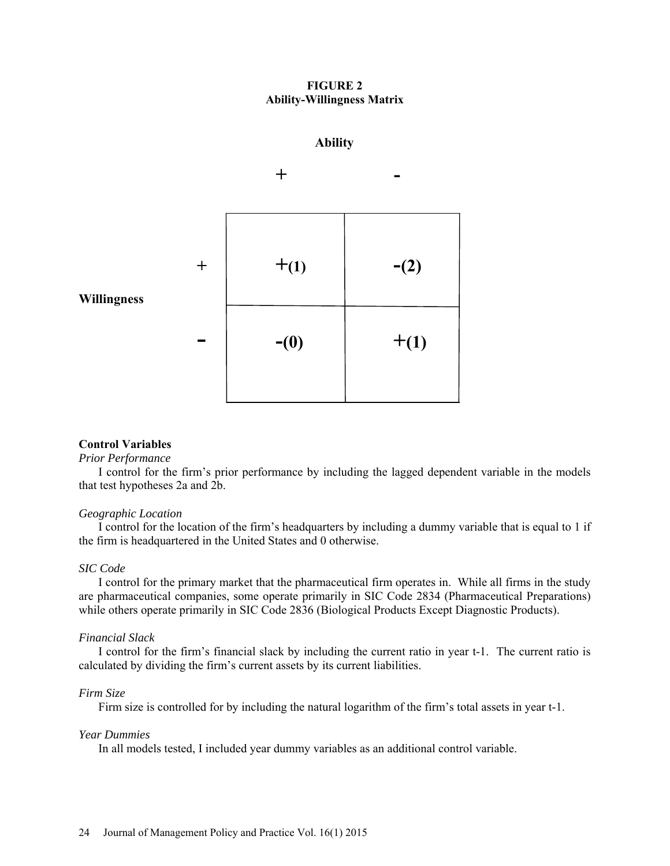# **FIGURE 2 Ability-Willingness Matrix**

# **Ability**



## **Control Variables**

#### *Prior Performance*

I control for the firm's prior performance by including the lagged dependent variable in the models that test hypotheses 2a and 2b.

### *Geographic Location*

I control for the location of the firm's headquarters by including a dummy variable that is equal to 1 if the firm is headquartered in the United States and 0 otherwise.

#### *SIC Code*

I control for the primary market that the pharmaceutical firm operates in. While all firms in the study are pharmaceutical companies, some operate primarily in SIC Code 2834 (Pharmaceutical Preparations) while others operate primarily in SIC Code 2836 (Biological Products Except Diagnostic Products).

#### *Financial Slack*

I control for the firm's financial slack by including the current ratio in year t-1. The current ratio is calculated by dividing the firm's current assets by its current liabilities.

### *Firm Size*

Firm size is controlled for by including the natural logarithm of the firm's total assets in year t-1.

### *Year Dummies*

In all models tested, I included year dummy variables as an additional control variable.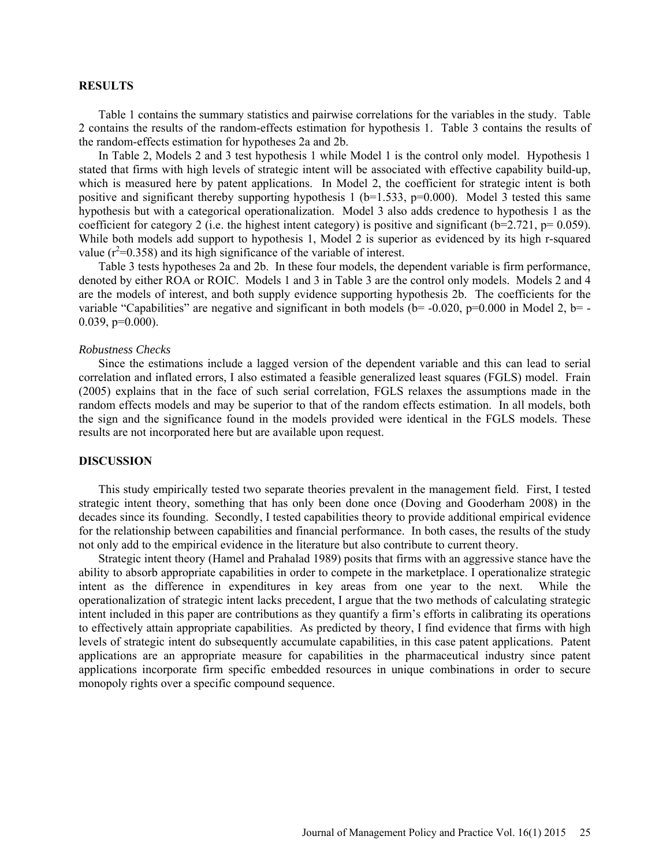### **RESULTS**

Table 1 contains the summary statistics and pairwise correlations for the variables in the study. Table 2 contains the results of the random-effects estimation for hypothesis 1. Table 3 contains the results of the random-effects estimation for hypotheses 2a and 2b.

In Table 2, Models 2 and 3 test hypothesis 1 while Model 1 is the control only model. Hypothesis 1 stated that firms with high levels of strategic intent will be associated with effective capability build-up, which is measured here by patent applications. In Model 2, the coefficient for strategic intent is both positive and significant thereby supporting hypothesis 1 (b=1.533, p=0.000). Model 3 tested this same hypothesis but with a categorical operationalization. Model 3 also adds credence to hypothesis 1 as the coefficient for category 2 (i.e. the highest intent category) is positive and significant ( $b=2.721$ ,  $p= 0.059$ ). While both models add support to hypothesis 1, Model 2 is superior as evidenced by its high r-squared value ( $r^2$ =0.358) and its high significance of the variable of interest.

Table 3 tests hypotheses 2a and 2b. In these four models, the dependent variable is firm performance, denoted by either ROA or ROIC. Models 1 and 3 in Table 3 are the control only models. Models 2 and 4 are the models of interest, and both supply evidence supporting hypothesis 2b. The coefficients for the variable "Capabilities" are negative and significant in both models  $(b= -0.020, p= 0.000$  in Model 2, b= - $0.039, p=0.000$ ).

### *Robustness Checks*

Since the estimations include a lagged version of the dependent variable and this can lead to serial correlation and inflated errors, I also estimated a feasible generalized least squares (FGLS) model. Frain (2005) explains that in the face of such serial correlation, FGLS relaxes the assumptions made in the random effects models and may be superior to that of the random effects estimation. In all models, both the sign and the significance found in the models provided were identical in the FGLS models. These results are not incorporated here but are available upon request.

### **DISCUSSION**

This study empirically tested two separate theories prevalent in the management field. First, I tested strategic intent theory, something that has only been done once (Doving and Gooderham 2008) in the decades since its founding. Secondly, I tested capabilities theory to provide additional empirical evidence for the relationship between capabilities and financial performance. In both cases, the results of the study not only add to the empirical evidence in the literature but also contribute to current theory.

Strategic intent theory (Hamel and Prahalad 1989) posits that firms with an aggressive stance have the ability to absorb appropriate capabilities in order to compete in the marketplace. I operationalize strategic intent as the difference in expenditures in key areas from one year to the next. While the operationalization of strategic intent lacks precedent, I argue that the two methods of calculating strategic intent included in this paper are contributions as they quantify a firm's efforts in calibrating its operations to effectively attain appropriate capabilities. As predicted by theory, I find evidence that firms with high levels of strategic intent do subsequently accumulate capabilities, in this case patent applications. Patent applications are an appropriate measure for capabilities in the pharmaceutical industry since patent applications incorporate firm specific embedded resources in unique combinations in order to secure monopoly rights over a specific compound sequence.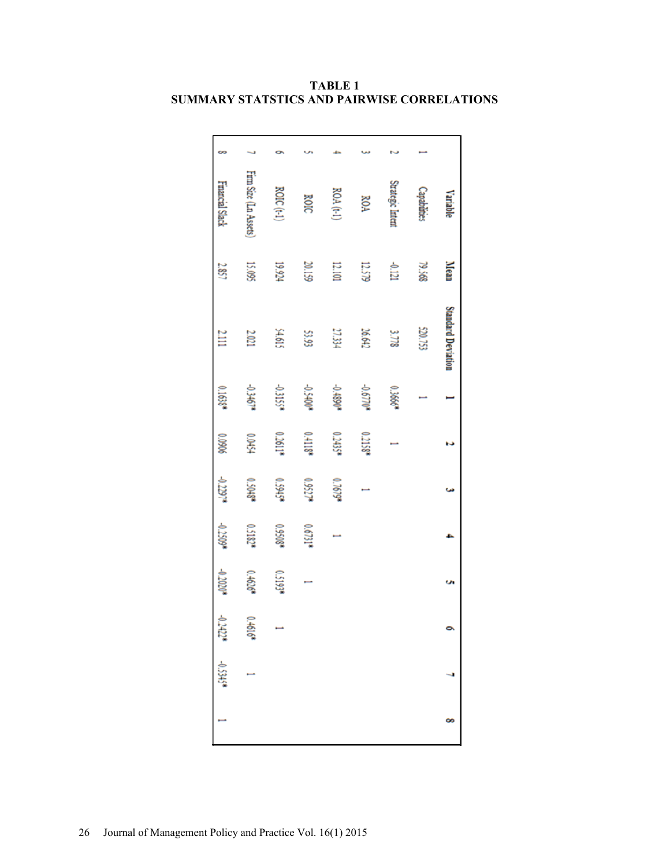|    | Variable               | Mean   | Standard Deviation |          |         |          |          | o,       |           |             |  |
|----|------------------------|--------|--------------------|----------|---------|----------|----------|----------|-----------|-------------|--|
|    | <b>Capabilities</b>    | 79.568 | 520.753            |          |         |          |          |          |           |             |  |
|    | Strategic Intent       | 121    | 3778               | 0.3666*  |         |          |          |          |           |             |  |
|    | <b>ROA</b>             | 12.579 | 26.642             | -0.6770* | 0.2158* |          |          |          |           |             |  |
|    | ROA (t-1)              | 12.101 | 27.334             | +06810   | 0.2435* | 0.7679*  |          |          |           |             |  |
|    | ROIC                   | 20.159 | 53.93              | +00+50-  | 0.4118* | 0.9527*  | 0.6731*  |          |           |             |  |
|    | ROIC $(t-1)$           | 19.924 | 54.615             | -0.3155* | 0.2611* | 6,5945*  | 0.9508*  | 0.5193*  |           |             |  |
|    | Firm Size (Ln Assets)  | 15.095 | 2.021              | -0.3467* | 12454   | 0.5048*  | 0.5182*  | 0.4626*  | 0.4616    |             |  |
| 60 | <b>Financial Slack</b> | 2.857  | 2.III              | 0.1638*  | 906070  | -0.2297* | -0.2509* | -0.2020* | $-0.2422$ | $-0.5345$ * |  |

**TABLE 1 SUMMARY STATSTICS AND PAIRWISE CORRELATIONS**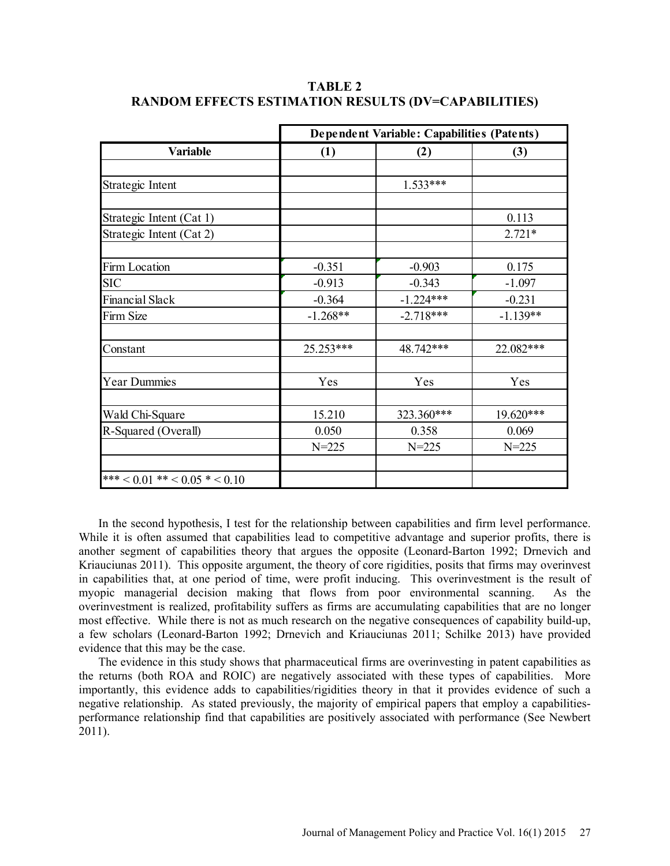|                                     | Dependent Variable: Capabilities (Patents) |             |            |  |
|-------------------------------------|--------------------------------------------|-------------|------------|--|
| Variable                            | (1)                                        | (2)         | (3)        |  |
|                                     |                                            |             |            |  |
| Strategic Intent                    |                                            | $1.533***$  |            |  |
|                                     |                                            |             |            |  |
| Strategic Intent (Cat 1)            |                                            |             | 0.113      |  |
| Strategic Intent (Cat 2)            |                                            |             | $2.721*$   |  |
|                                     |                                            |             |            |  |
| Firm Location                       | $-0.351$                                   | $-0.903$    | 0.175      |  |
| <b>SIC</b>                          | $-0.913$                                   | $-0.343$    | $-1.097$   |  |
| <b>Financial Slack</b>              | $-0.364$                                   | $-1.224***$ | $-0.231$   |  |
| Firm Size                           | $-1.268**$                                 | $-2.718***$ | $-1.139**$ |  |
|                                     |                                            |             |            |  |
| Constant                            | 25.253***                                  | 48.742***   | 22.082***  |  |
|                                     |                                            |             |            |  |
| <b>Year Dummies</b>                 | Yes                                        | Yes         | Yes        |  |
|                                     |                                            |             |            |  |
| Wald Chi-Square                     | 15.210                                     | 323.360***  | 19.620***  |  |
| R-Squared (Overall)                 | 0.050                                      | 0.358       | 0.069      |  |
|                                     | $N = 225$                                  | $N = 225$   | $N = 225$  |  |
|                                     |                                            |             |            |  |
| *** $< 0.01$ ** $< 0.05$ * $< 0.10$ |                                            |             |            |  |

**TABLE 2 RANDOM EFFECTS ESTIMATION RESULTS (DV=CAPABILITIES)** 

In the second hypothesis, I test for the relationship between capabilities and firm level performance. While it is often assumed that capabilities lead to competitive advantage and superior profits, there is another segment of capabilities theory that argues the opposite (Leonard-Barton 1992; Drnevich and Kriauciunas 2011). This opposite argument, the theory of core rigidities, posits that firms may overinvest in capabilities that, at one period of time, were profit inducing. This overinvestment is the result of myopic managerial decision making that flows from poor environmental scanning. As the overinvestment is realized, profitability suffers as firms are accumulating capabilities that are no longer most effective. While there is not as much research on the negative consequences of capability build-up, a few scholars (Leonard-Barton 1992; Drnevich and Kriauciunas 2011; Schilke 2013) have provided evidence that this may be the case.

The evidence in this study shows that pharmaceutical firms are overinvesting in patent capabilities as the returns (both ROA and ROIC) are negatively associated with these types of capabilities. More importantly, this evidence adds to capabilities/rigidities theory in that it provides evidence of such a negative relationship. As stated previously, the majority of empirical papers that employ a capabilitiesperformance relationship find that capabilities are positively associated with performance (See Newbert 2011).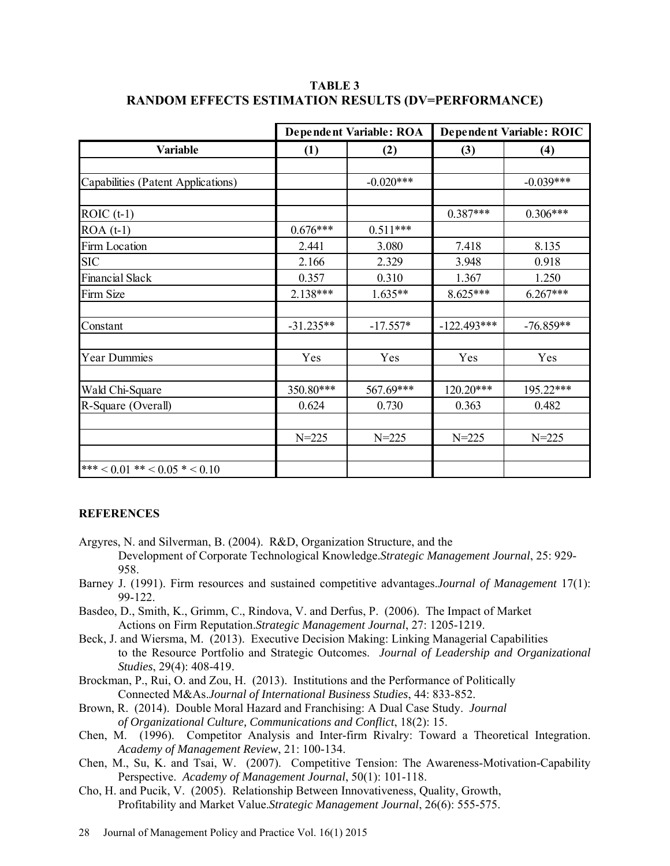|                                    |             | <b>Dependent Variable: ROA</b> |               | <b>Dependent Variable: ROIC</b> |
|------------------------------------|-------------|--------------------------------|---------------|---------------------------------|
| Variable                           | (1)         | (2)                            | (3)           | (4)                             |
|                                    |             |                                |               |                                 |
| Capabilities (Patent Applications) |             | $-0.020***$                    |               | $-0.039***$                     |
|                                    |             |                                |               |                                 |
| $ROIC$ (t-1)                       |             |                                | $0.387***$    | $0.306***$                      |
| $ROA(t-1)$                         | $0.676***$  | $0.511***$                     |               |                                 |
| Firm Location                      | 2.441       | 3.080                          | 7.418         | 8.135                           |
| <b>SIC</b>                         | 2.166       | 2.329                          | 3.948         | 0.918                           |
| Financial Slack                    | 0.357       | 0.310                          | 1.367         | 1.250                           |
| Firm Size                          | $2.138***$  | $1.635**$                      | $8.625***$    | $6.267***$                      |
|                                    |             |                                |               |                                 |
| Constant                           | $-31.235**$ | $-17.557*$                     | $-122.493***$ | $-76.859**$                     |
|                                    |             |                                |               |                                 |
| <b>Year Dummies</b>                | Yes         | Yes                            | Yes           | Yes                             |
|                                    |             |                                |               |                                 |
| Wald Chi-Square                    | 350.80***   | 567.69***                      | 120.20***     | 195.22***                       |
| R-Square (Overall)                 | 0.624       | 0.730                          | 0.363         | 0.482                           |
|                                    |             |                                |               |                                 |
|                                    | $N = 225$   | $N = 225$                      | $N = 225$     | $N = 225$                       |
|                                    |             |                                |               |                                 |
| *** < 0.01 ** < 0.05 * < 0.10      |             |                                |               |                                 |

**TABLE 3 RANDOM EFFECTS ESTIMATION RESULTS (DV=PERFORMANCE)** 

# **REFERENCES**

- Argyres, N. and Silverman, B. (2004). R&D, Organization Structure, and the Development of Corporate Technological Knowledge.*Strategic Management Journal*, 25: 929- 958.
- Barney J. (1991). Firm resources and sustained competitive advantages.*Journal of Management* 17(1): 99-122.
- Basdeo, D., Smith, K., Grimm, C., Rindova, V. and Derfus, P. (2006). The Impact of Market Actions on Firm Reputation.*Strategic Management Journal*, 27: 1205-1219.
- Beck, J. and Wiersma, M. (2013). Executive Decision Making: Linking Managerial Capabilities to the Resource Portfolio and Strategic Outcomes. *Journal of Leadership and Organizational Studies*, 29(4): 408-419.
- Brockman, P., Rui, O. and Zou, H. (2013). Institutions and the Performance of Politically Connected M&As.*Journal of International Business Studies*, 44: 833-852.
- Brown, R. (2014). Double Moral Hazard and Franchising: A Dual Case Study. *Journal of Organizational Culture, Communications and Conflict*, 18(2): 15.
- Chen, M. (1996). Competitor Analysis and Inter-firm Rivalry: Toward a Theoretical Integration. *Academy of Management Review*, 21: 100-134.
- Chen, M., Su, K. and Tsai, W. (2007). Competitive Tension: The Awareness-Motivation-Capability Perspective. *Academy of Management Journal*, 50(1): 101-118.
- Cho, H. and Pucik, V. (2005). Relationship Between Innovativeness, Quality, Growth, Profitability and Market Value.*Strategic Management Journal*, 26(6): 555-575.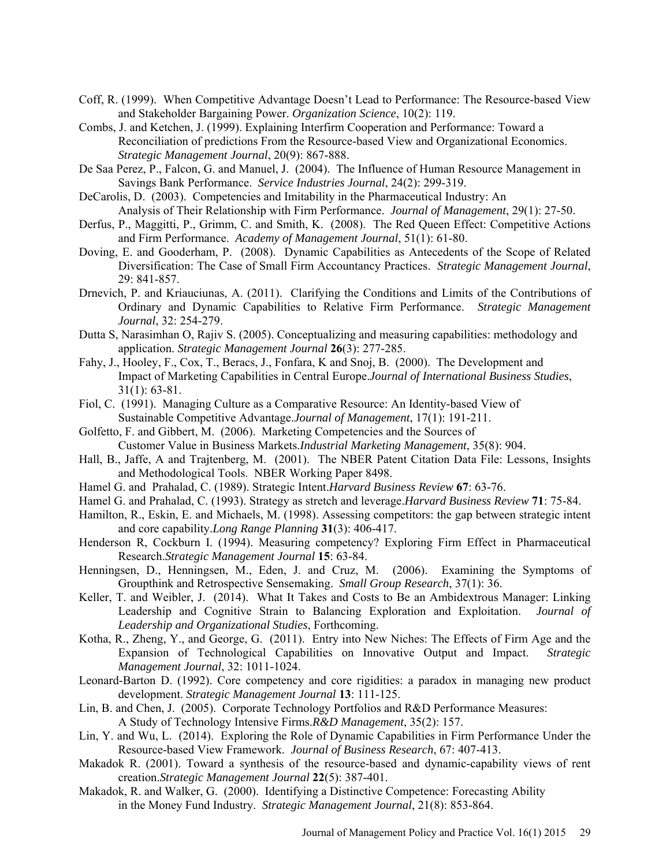- Coff, R. (1999). When Competitive Advantage Doesn't Lead to Performance: The Resource-based View and Stakeholder Bargaining Power. *Organization Science*, 10(2): 119.
- Combs, J. and Ketchen, J. (1999). Explaining Interfirm Cooperation and Performance: Toward a Reconciliation of predictions From the Resource-based View and Organizational Economics. *Strategic Management Journal*, 20(9): 867-888.
- De Saa Perez, P., Falcon, G. and Manuel, J. (2004). The Influence of Human Resource Management in Savings Bank Performance. *Service Industries Journal*, 24(2): 299-319.
- DeCarolis, D. (2003). Competencies and Imitability in the Pharmaceutical Industry: An Analysis of Their Relationship with Firm Performance. *Journal of Management*, 29(1): 27-50.
- Derfus, P., Maggitti, P., Grimm, C. and Smith, K. (2008). The Red Queen Effect: Competitive Actions and Firm Performance. *Academy of Management Journal*, 51(1): 61-80.
- Doving, E. and Gooderham, P. (2008). Dynamic Capabilities as Antecedents of the Scope of Related Diversification: The Case of Small Firm Accountancy Practices. *Strategic Management Journal*, 29: 841-857.
- Drnevich, P. and Kriauciunas, A. (2011). Clarifying the Conditions and Limits of the Contributions of Ordinary and Dynamic Capabilities to Relative Firm Performance. *Strategic Management Journal*, 32: 254-279.
- Dutta S, Narasimhan O, Rajiv S. (2005). Conceptualizing and measuring capabilities: methodology and application. *Strategic Management Journal* **26**(3): 277-285.
- Fahy, J., Hooley, F., Cox, T., Beracs, J., Fonfara, K and Snoj, B. (2000). The Development and Impact of Marketing Capabilities in Central Europe.*Journal of International Business Studies*, 31(1): 63-81.
- Fiol, C. (1991). Managing Culture as a Comparative Resource: An Identity-based View of Sustainable Competitive Advantage.*Journal of Management*, 17(1): 191-211.
- Golfetto, F. and Gibbert, M. (2006). Marketing Competencies and the Sources of Customer Value in Business Markets.*Industrial Marketing Management*, 35(8): 904.
- Hall, B., Jaffe, A and Trajtenberg, M. (2001). The NBER Patent Citation Data File: Lessons, Insights and Methodological Tools. NBER Working Paper 8498.
- Hamel G. and Prahalad, C. (1989). Strategic Intent.*Harvard Business Review* **67**: 63-76.
- Hamel G. and Prahalad, C. (1993). Strategy as stretch and leverage.*Harvard Business Review* **71**: 75-84.
- Hamilton, R., Eskin, E. and Michaels, M. (1998). Assessing competitors: the gap between strategic intent and core capability.*Long Range Planning* **31**(3): 406-417.
- Henderson R, Cockburn I. (1994). Measuring competency? Exploring Firm Effect in Pharmaceutical Research.*Strategic Management Journal* **15**: 63-84.
- Henningsen, D., Henningsen, M., Eden, J. and Cruz, M. (2006). Examining the Symptoms of Groupthink and Retrospective Sensemaking. *Small Group Research*, 37(1): 36.
- Keller, T. and Weibler, J. (2014). What It Takes and Costs to Be an Ambidextrous Manager: Linking Leadership and Cognitive Strain to Balancing Exploration and Exploitation. *Journal of Leadership and Organizational Studies*, Forthcoming.
- Kotha, R., Zheng, Y., and George, G. (2011). Entry into New Niches: The Effects of Firm Age and the Expansion of Technological Capabilities on Innovative Output and Impact. *Strategic Management Journal*, 32: 1011-1024.
- Leonard-Barton D. (1992). Core competency and core rigidities: a paradox in managing new product development. *Strategic Management Journal* **13**: 111-125.
- Lin, B. and Chen, J. (2005). Corporate Technology Portfolios and R&D Performance Measures: A Study of Technology Intensive Firms.*R&D Management*, 35(2): 157.
- Lin, Y. and Wu, L. (2014). Exploring the Role of Dynamic Capabilities in Firm Performance Under the Resource-based View Framework. *Journal of Business Research*, 67: 407-413.
- Makadok R. (2001). Toward a synthesis of the resource-based and dynamic-capability views of rent creation.*Strategic Management Journal* **22**(5): 387-401.
- Makadok, R. and Walker, G. (2000). Identifying a Distinctive Competence: Forecasting Ability in the Money Fund Industry. *Strategic Management Journal*, 21(8): 853-864.